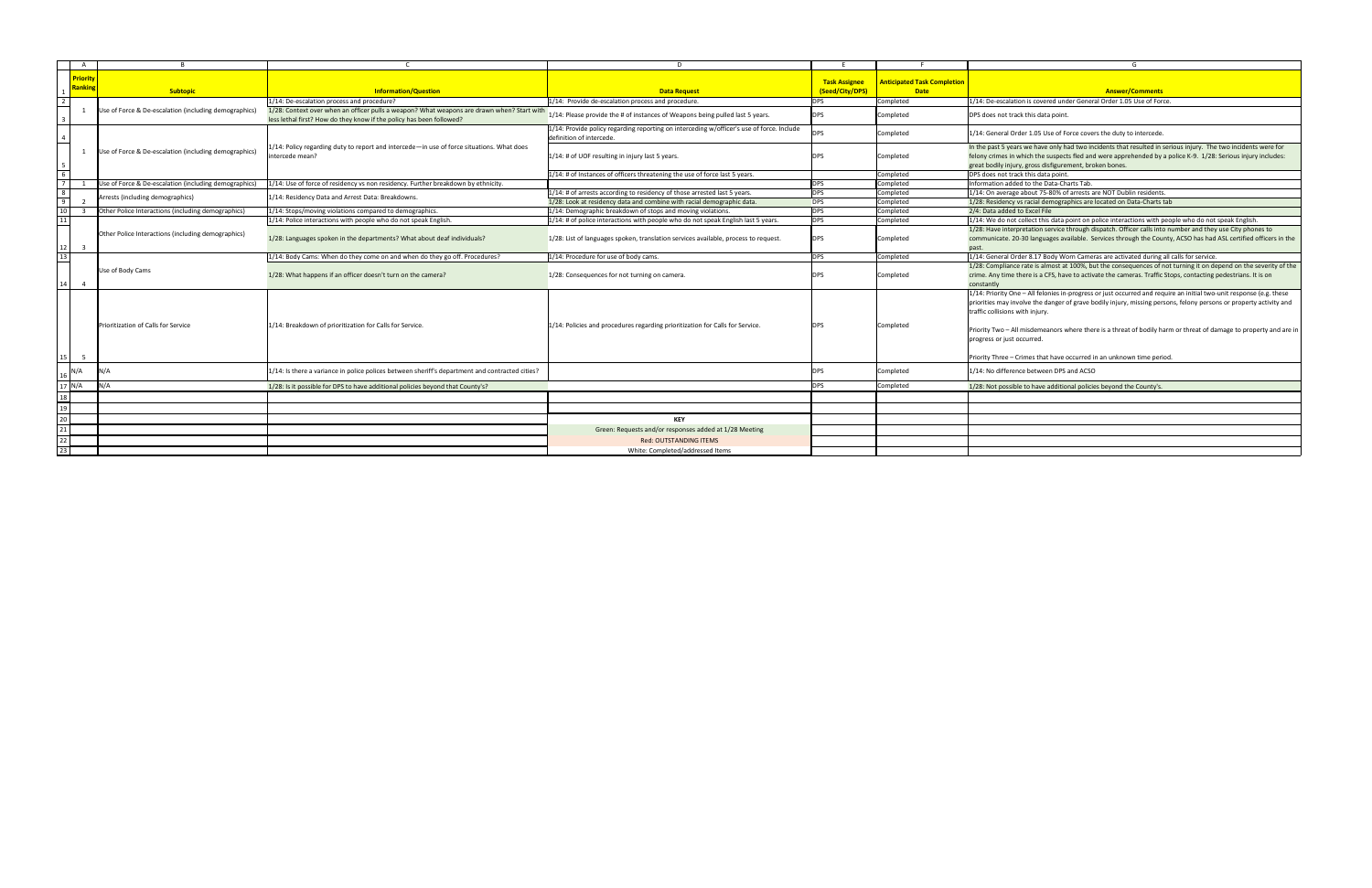|                                         |                         |                                                       |                                                                                                                                                                    |                                                                                                                       |                                         |                                                   | G                                                                                                                                                                                                                                                                                                |  |  |  |  |
|-----------------------------------------|-------------------------|-------------------------------------------------------|--------------------------------------------------------------------------------------------------------------------------------------------------------------------|-----------------------------------------------------------------------------------------------------------------------|-----------------------------------------|---------------------------------------------------|--------------------------------------------------------------------------------------------------------------------------------------------------------------------------------------------------------------------------------------------------------------------------------------------------|--|--|--|--|
|                                         | 1 Priority L<br>Ranking | <b>Subtopic</b>                                       | <b>Information/Question</b>                                                                                                                                        | <b>Data Request</b>                                                                                                   | <b>Task Assignee</b><br>(Seed/City/DPS) | <b>Anticipated Task Completion</b><br><b>Date</b> | <b>Answer/Comments</b>                                                                                                                                                                                                                                                                           |  |  |  |  |
|                                         |                         |                                                       | 1/14: De-escalation process and procedure?                                                                                                                         | 1/14: Provide de-escalation process and procedure.                                                                    | <b>DPS</b>                              | Completed                                         | 1/14: De-escalation is covered under General Order 1.05 Use of Force.                                                                                                                                                                                                                            |  |  |  |  |
|                                         |                         | Use of Force & De-escalation (including demographics) | 1/28: Context over when an officer pulls a weapon? What weapons are drawn when? Start with<br>less lethal first? How do they know if the policy has been followed? | 1/14: Please provide the # of instances of Weapons being pulled last 5 years.                                         | <b>DPS</b>                              | Completed                                         | DPS does not track this data point.                                                                                                                                                                                                                                                              |  |  |  |  |
|                                         |                         |                                                       |                                                                                                                                                                    | 1/14: Provide policy regarding reporting on interceding w/officer's use of force. Include<br>definition of intercede. | <b>DPS</b>                              | Completed                                         | 1/14: General Order 1.05 Use of Force covers the duty to intercede.                                                                                                                                                                                                                              |  |  |  |  |
|                                         |                         | Use of Force & De-escalation (including demographics) | 1/14: Policy regarding duty to report and intercede—in use of force situations. What does<br>intercede mean?                                                       | 1/14: # of UOF resulting in injury last 5 years.                                                                      |                                         | Completed                                         | In the past 5 years we have only had two incidents that resulted in ser<br>felony crimes in which the suspects fled and were apprehended by a p<br>great bodily injury, gross disfigurement, broken bones.                                                                                       |  |  |  |  |
|                                         |                         |                                                       |                                                                                                                                                                    | $1/14$ : # of Instances of officers threatening the use of force last 5 years.                                        |                                         | Completed                                         | DPS does not track this data point.                                                                                                                                                                                                                                                              |  |  |  |  |
|                                         |                         | Use of Force & De-escalation (including demographics) | 1/14: Use of force of residency vs non residency. Further breakdown by ethnicity.                                                                                  |                                                                                                                       | <b>DPS</b>                              | Completed                                         | Information added to the Data-Charts Tab                                                                                                                                                                                                                                                         |  |  |  |  |
|                                         |                         | Arrests (including demographics)                      | 1/14: Residency Data and Arrest Data: Breakdowns.                                                                                                                  | 1/14: # of arrests according to residency of those arrested last 5 years.                                             | <b>DPS</b>                              | Completed                                         | 1/14: On average about 75-80% of arrests are NOT Dublin residents.                                                                                                                                                                                                                               |  |  |  |  |
| $\overline{a}$                          |                         |                                                       |                                                                                                                                                                    | 1/28: Look at residency data and combine with racial demographic data.                                                | <b>DPS</b>                              | Completed                                         | 1/28: Residency vs racial demographics are located on Data-Charts tab                                                                                                                                                                                                                            |  |  |  |  |
|                                         |                         | Other Police Interactions (including demographics)    | 1/14: Stops/moving violations compared to demographics.                                                                                                            | $1/14$ : Demographic breakdown of stops and moving violations                                                         | <b>DPS</b>                              | Completed                                         | 2/4: Data added to Excel File                                                                                                                                                                                                                                                                    |  |  |  |  |
| 11                                      |                         |                                                       | 1/14: Police interactions with people who do not speak English.                                                                                                    | $1/14$ : # of police interactions with people who do not speak English last 5 years.                                  | <b>DPS</b>                              | Completed                                         | $1/14$ : We do not collect this data point on police interactions with peo                                                                                                                                                                                                                       |  |  |  |  |
| 12                                      |                         | Other Police Interactions (including demographics)    | 1/28: Languages spoken in the departments? What about deaf individuals?                                                                                            | 1/28: List of languages spoken, translation services available, process to request.                                   |                                         | Completed                                         | 1/28: Have interpretation service through dispatch. Officer calls into n<br>communicate. 20-30 languages available. Services through the County<br>past.                                                                                                                                         |  |  |  |  |
| 13                                      |                         |                                                       | 1/14: Body Cams: When do they come on and when do they go off. Procedures?                                                                                         | $1/14$ : Procedure for use of body cams.                                                                              | <b>DPS</b>                              | Completed                                         | 1/14: General Order 8.17 Body Worn Cameras are activated during all                                                                                                                                                                                                                              |  |  |  |  |
| 14                                      |                         | Use of Body Cams                                      | 1/28: What happens if an officer doesn't turn on the camera?                                                                                                       | 1/28: Consequences for not turning on camera.                                                                         |                                         | Completed                                         | 1/28: Compliance rate is almost at 100%, but the consequences of not<br>crime. Any time there is a CFS, have to activate the cameras. Traffic Sto<br>constantly                                                                                                                                  |  |  |  |  |
|                                         |                         | Prioritization of Calls for Service                   | 1/14: Breakdown of prioritization for Calls for Service.                                                                                                           | 1/14: Policies and procedures regarding prioritization for Calls for Service.                                         | <b>DPS</b>                              | Completed                                         | 1/14: Priority One - All felonies in-progress or just occurred and requir<br>priorities may involve the danger of grave bodily injury, missing persor<br>traffic collisions with injury.<br>Priority Two - All misdemeanors where there is a threat of bodily harn<br>progress or just occurred. |  |  |  |  |
| 15                                      |                         |                                                       |                                                                                                                                                                    |                                                                                                                       |                                         |                                                   | Priority Three – Crimes that have occurred in an unknown time period                                                                                                                                                                                                                             |  |  |  |  |
|                                         | $16$ N/A                |                                                       | 1/14: Is there a variance in police polices between sheriff's department and contracted cities?                                                                    |                                                                                                                       |                                         | Completed                                         | 1/14: No difference between DPS and ACSO                                                                                                                                                                                                                                                         |  |  |  |  |
|                                         | $17$ N/A                | N/A                                                   | 1/28: Is it possible for DPS to have additional policies beyond that County's?                                                                                     |                                                                                                                       | <b>DPS</b>                              | Completed                                         | 1/28: Not possible to have additional policies beyond the County's.                                                                                                                                                                                                                              |  |  |  |  |
|                                         |                         |                                                       |                                                                                                                                                                    |                                                                                                                       |                                         |                                                   |                                                                                                                                                                                                                                                                                                  |  |  |  |  |
| $\begin{array}{c} 18 \\ 19 \end{array}$ |                         |                                                       |                                                                                                                                                                    |                                                                                                                       |                                         |                                                   |                                                                                                                                                                                                                                                                                                  |  |  |  |  |
| $\overline{20}$                         |                         |                                                       |                                                                                                                                                                    | <b>KEY</b>                                                                                                            |                                         |                                                   |                                                                                                                                                                                                                                                                                                  |  |  |  |  |
| 21                                      |                         |                                                       |                                                                                                                                                                    | Green: Requests and/or responses added at 1/28 Meeting                                                                |                                         |                                                   |                                                                                                                                                                                                                                                                                                  |  |  |  |  |
|                                         |                         |                                                       |                                                                                                                                                                    |                                                                                                                       |                                         |                                                   |                                                                                                                                                                                                                                                                                                  |  |  |  |  |
| 22<br>$\frac{1}{23}$                    |                         |                                                       |                                                                                                                                                                    | <b>Red: OUTSTANDING ITEMS</b>                                                                                         |                                         |                                                   |                                                                                                                                                                                                                                                                                                  |  |  |  |  |
|                                         |                         |                                                       |                                                                                                                                                                    | White: Completed/addressed Items                                                                                      |                                         |                                                   |                                                                                                                                                                                                                                                                                                  |  |  |  |  |

had two incidents that resulted in serious injury. The two incidents were for  $ext{red}$  and were apprehended by a police K-9.  $\,$  1/28: Serious injury includes: ement, broken bones.

point on police interactions with people who do not speak English.  $1$  through dispatch. Officer calls into number and they use City phones to vailable. Services through the County, ACSO has had ASL certified officers in the

17. Body Cameras are activated during all calls for service. 11 100%, but the consequences of not turning it on depend on the severity of the ave to activate the cameras. Traffic Stops, contacting pedestrians. It is on

in-progress or just occurred and require an initial two-unit response (e.g. these r of grave bodily injury, missing persons, felony persons or property activity and

where there is a threat of bodily harm or threat of damage to property and are in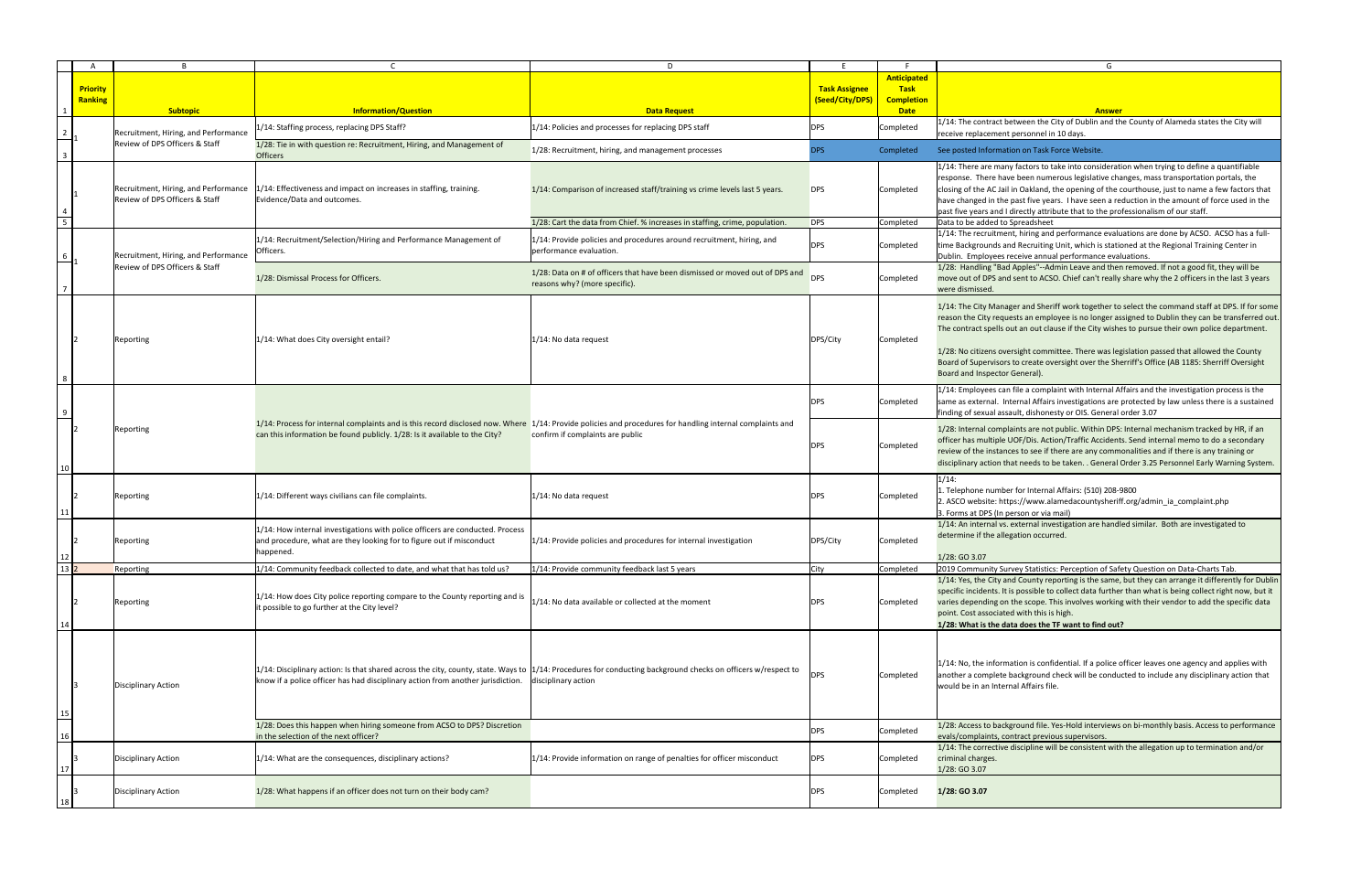|                  |                                   |                                                                        |                                                                                                                                                                                                                                                         | D                                                                                                             |                      |                                  | G                                                                                                                                                                                                                                                                                                                                                                                                                                                                                                                                            |
|------------------|-----------------------------------|------------------------------------------------------------------------|---------------------------------------------------------------------------------------------------------------------------------------------------------------------------------------------------------------------------------------------------------|---------------------------------------------------------------------------------------------------------------|----------------------|----------------------------------|----------------------------------------------------------------------------------------------------------------------------------------------------------------------------------------------------------------------------------------------------------------------------------------------------------------------------------------------------------------------------------------------------------------------------------------------------------------------------------------------------------------------------------------------|
|                  |                                   |                                                                        |                                                                                                                                                                                                                                                         |                                                                                                               |                      | <b>Anticipated</b>               |                                                                                                                                                                                                                                                                                                                                                                                                                                                                                                                                              |
|                  | <b>Priority</b><br><b>Ranking</b> |                                                                        |                                                                                                                                                                                                                                                         |                                                                                                               | <b>Task Assignee</b> | <b>Task</b>                      |                                                                                                                                                                                                                                                                                                                                                                                                                                                                                                                                              |
|                  |                                   | <b>Subtopic</b>                                                        | <b>Information/Question</b>                                                                                                                                                                                                                             | <b>Data Request</b>                                                                                           | (Seed/City/DPS)      | <b>Completion</b><br><b>Date</b> | <b>Answer</b>                                                                                                                                                                                                                                                                                                                                                                                                                                                                                                                                |
|                  |                                   | Recruitment, Hiring, and Performance                                   | 1/14: Staffing process, replacing DPS Staff?                                                                                                                                                                                                            | 1/14: Policies and processes for replacing DPS staff                                                          | <b>DPS</b>           | Completed                        | 1/14: The contract between the City of Dublin and the County of Alameda states the City will<br>receive replacement personnel in 10 days.                                                                                                                                                                                                                                                                                                                                                                                                    |
| $\mathbf{3}$     |                                   | Review of DPS Officers & Staff                                         | 1/28: Tie in with question re: Recruitment, Hiring, and Management of<br><b>Officers</b>                                                                                                                                                                | 1/28: Recruitment, hiring, and management processes                                                           | <b>DPS</b>           | Completed                        | See posted Information on Task Force Website.                                                                                                                                                                                                                                                                                                                                                                                                                                                                                                |
|                  |                                   | Recruitment, Hiring, and Performance<br>Review of DPS Officers & Staff | 1/14: Effectiveness and impact on increases in staffing, training.<br>Evidence/Data and outcomes.                                                                                                                                                       | 1/14: Comparison of increased staff/training vs crime levels last 5 years.                                    | <b>DPS</b>           | Completed                        | 1/14: There are many factors to take into consideration when trying to define a quantifiable<br>response. There have been numerous legislative changes, mass transportation portals, the<br>closing of the AC Jail in Oakland, the opening of the courthouse, just to name a few factors that<br>have changed in the past five years. I have seen a reduction in the amount of force used in the<br>past five years and I directly attribute that to the professionalism of our staff.                                                       |
|                  |                                   |                                                                        |                                                                                                                                                                                                                                                         | 1/28: Cart the data from Chief. % increases in staffing, crime, population.                                   | <b>DPS</b>           | Completed                        | Data to be added to Spreadsheet                                                                                                                                                                                                                                                                                                                                                                                                                                                                                                              |
|                  |                                   | Recruitment, Hiring, and Performance                                   | 1/14: Recruitment/Selection/Hiring and Performance Management of<br>Officers.                                                                                                                                                                           | $1/14$ : Provide policies and procedures around recruitment, hiring, and<br>performance evaluation.           | DPS                  | Completed                        | 1/14: The recruitment, hiring and performance evaluations are done by ACSO. ACSO has a full-<br>time Backgrounds and Recruiting Unit, which is stationed at the Regional Training Center in<br>Dublin. Employees receive annual performance evaluations.                                                                                                                                                                                                                                                                                     |
|                  |                                   | Review of DPS Officers & Staff                                         | 1/28: Dismissal Process for Officers.                                                                                                                                                                                                                   | 1/28: Data on # of officers that have been dismissed or moved out of DPS and<br>reasons why? (more specific). | <b>DPS</b>           | Completed                        | 1/28: Handling "Bad Apples"--Admin Leave and then removed. If not a good fit, they will be<br>move out of DPS and sent to ACSO. Chief can't really share why the 2 officers in the last 3 years<br>were dismissed.                                                                                                                                                                                                                                                                                                                           |
|                  |                                   | Reporting                                                              | 1/14: What does City oversight entail?                                                                                                                                                                                                                  | $1/14$ : No data request                                                                                      | DPS/City             | Completed                        | 1/14: The City Manager and Sheriff work together to select the command staff at DPS. If for some<br>reason the City requests an employee is no longer assigned to Dublin they can be transferred out.<br>The contract spells out an out clause if the City wishes to pursue their own police department.<br>1/28: No citizens oversight committee. There was legislation passed that allowed the County<br>Board of Supervisors to create oversight over the Sherriff's Office (AB 1185: Sherriff Oversight<br>Board and Inspector General). |
| $\frac{9}{2}$    |                                   |                                                                        |                                                                                                                                                                                                                                                         |                                                                                                               | <b>DPS</b>           | Completed                        | 1/14: Employees can file a complaint with Internal Affairs and the investigation process is the<br>same as external. Internal Affairs investigations are protected by law unless there is a sustained<br>finding of sexual assault, dishonesty or OIS. General order 3.07                                                                                                                                                                                                                                                                    |
|                  |                                   | Reporting                                                              | 1/14: Process for internal complaints and is this record disclosed now. Where 1/14: Provide policies and procedures for handling internal complaints and<br>can this information be found publicly. 1/28: Is it available to the City?                  | confirm if complaints are public                                                                              | <b>DPS</b>           | Completed                        | 1/28: Internal complaints are not public. Within DPS: Internal mechanism tracked by HR, if an<br>officer has multiple UOF/Dis. Action/Traffic Accidents. Send internal memo to do a secondary<br>review of the instances to see if there are any commonalities and if there is any training or<br>disciplinary action that needs to be taken. . General Order 3.25 Personnel Early Warning System.                                                                                                                                           |
| 11               |                                   | Reporting                                                              | 1/14: Different ways civilians can file complaints.                                                                                                                                                                                                     | 1/14: No data request                                                                                         | <b>DPS</b>           | Completed                        | $1/14$ :<br>1. Telephone number for Internal Affairs: (510) 208-9800<br>2. ASCO website: https://www.alamedacountysheriff.org/admin ia complaint.php<br>3. Forms at DPS (In person or via mail)                                                                                                                                                                                                                                                                                                                                              |
| 12               |                                   | Reporting                                                              | $ 1/14$ : How internal investigations with police officers are conducted. Process<br>and procedure, what are they looking for to figure out if misconduct<br>happened.                                                                                  | 1/14: Provide policies and procedures for internal investigation                                              | DPS/City             | Completed                        | 1/14: An internal vs. external investigation are handled similar. Both are investigated to<br>determine if the allegation occurred.<br>1/28: GO 3.07                                                                                                                                                                                                                                                                                                                                                                                         |
| $13\overline{2}$ |                                   | Reporting                                                              | $ 1/14$ : Community feedback collected to date, and what that has told us?                                                                                                                                                                              | 1/14: Provide community feedback last 5 years                                                                 | City                 | Completed                        | 2019 Community Survey Statistics: Perception of Safety Question on Data-Charts Tab.                                                                                                                                                                                                                                                                                                                                                                                                                                                          |
| 14               |                                   | Reporting                                                              | $ 1/14$ : How does City police reporting compare to the County reporting and is<br>it possible to go further at the City level?                                                                                                                         | $ 1/14$ : No data available or collected at the moment                                                        | <b>DPS</b>           | Completed                        | 1/14: Yes, the City and County reporting is the same, but they can arrange it differently for Dublin<br>specific incidents. It is possible to collect data further than what is being collect right now, but it<br>varies depending on the scope. This involves working with their vendor to add the specific data<br>point. Cost associated with this is high.<br>1/28: What is the data does the TF want to find out?                                                                                                                      |
| $\frac{15}{1}$   |                                   | Disciplinary Action                                                    | $ 1/14$ : Disciplinary action: Is that shared across the city, county, state. Ways to $ 1/14$ : Procedures for conducting background checks on officers w/respect to<br>know if a police officer has had disciplinary action from another jurisdiction. | disciplinary action                                                                                           | <b>DPS</b>           | Completed                        | 1/14: No, the information is confidential. If a police officer leaves one agency and applies with<br>another a complete background check will be conducted to include any disciplinary action that<br>would be in an Internal Affairs file.                                                                                                                                                                                                                                                                                                  |
| 16               |                                   |                                                                        | 1/28: Does this happen when hiring someone from ACSO to DPS? Discretion<br>in the selection of the next officer?                                                                                                                                        |                                                                                                               | <b>DPS</b>           | Completed                        | 1/28: Access to background file. Yes-Hold interviews on bi-monthly basis. Access to performance<br>evals/complaints, contract previous supervisors.                                                                                                                                                                                                                                                                                                                                                                                          |
|                  |                                   | Disciplinary Action                                                    | 1/14: What are the consequences, disciplinary actions?                                                                                                                                                                                                  | 1/14: Provide information on range of penalties for officer misconduct                                        | $\overline{DPS}$     | Completed                        | 1/14: The corrective discipline will be consistent with the allegation up to termination and/or<br>criminal charges.<br>1/28: GO 3.07                                                                                                                                                                                                                                                                                                                                                                                                        |
| 18               |                                   | Disciplinary Action                                                    | 1/28: What happens if an officer does not turn on their body cam?                                                                                                                                                                                       |                                                                                                               | <b>DPS</b>           | Completed                        | 1/28: GO 3.07                                                                                                                                                                                                                                                                                                                                                                                                                                                                                                                                |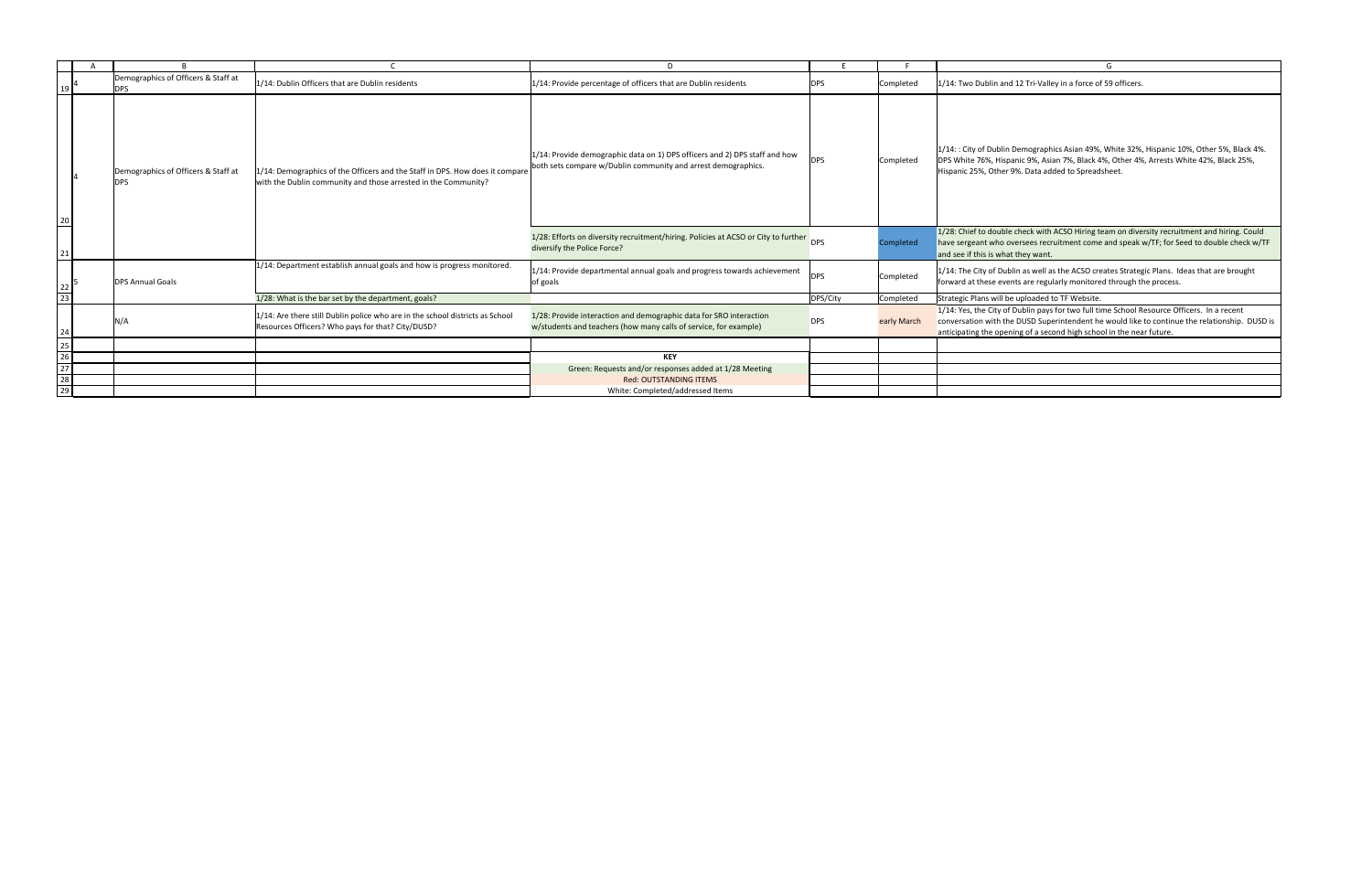|                                                                                       |  |                                                   |                                                                                                                                                |                                                                                                                                                 |            |             | G                                                                                                                                                                                                                                                                   |
|---------------------------------------------------------------------------------------|--|---------------------------------------------------|------------------------------------------------------------------------------------------------------------------------------------------------|-------------------------------------------------------------------------------------------------------------------------------------------------|------------|-------------|---------------------------------------------------------------------------------------------------------------------------------------------------------------------------------------------------------------------------------------------------------------------|
|                                                                                       |  | Demographics of Officers & Staff at<br><b>DPS</b> | 1/14: Dublin Officers that are Dublin residents                                                                                                | 1/14: Provide percentage of officers that are Dublin residents                                                                                  | <b>DPS</b> | Completed   | 1/14: Two Dublin and 12 Tri-Valley in a force of 59 officers.                                                                                                                                                                                                       |
| 20                                                                                    |  | Demographics of Officers & Staff at<br><b>DPS</b> | 1/14: Demographics of the Officers and the Staff in DPS. How does it compare<br>with the Dublin community and those arrested in the Community? | $ 1/14$ : Provide demographic data on 1) DPS officers and 2) DPS staff and how<br>both sets compare w/Dublin community and arrest demographics. | <b>DPS</b> | Completed   | 1/14:: City of Dublin Demographics Asian 49%, White 32%, Hispanic 10%, Other 5%, Black 4%.<br>DPS White 76%, Hispanic 9%, Asian 7%, Black 4%, Other 4%, Arrests White 42%, Black 25%,<br>Hispanic 25%, Other 9%. Data added to Spreadsheet.                         |
| 21                                                                                    |  |                                                   |                                                                                                                                                | 1/28: Efforts on diversity recruitment/hiring. Policies at ACSO or City to further DPS<br>diversify the Police Force?                           |            | ompleted    | 1/28: Chief to double check with ACSO Hiring team on diversity recruitment and hiring. Could<br>have sergeant who oversees recruitment come and speak w/TF; for Seed to double check w/TF<br>and see if this is what they want.                                     |
| $\begin{array}{c c} 22 & 5 \\ \hline 23 & \end{array}$                                |  | <b>DPS Annual Goals</b>                           | 1/14: Department establish annual goals and how is progress monitored.                                                                         | $ 1/14$ : Provide departmental annual goals and progress towards achievement<br>of goals                                                        | <b>DPS</b> | Completed   | 1/14: The City of Dublin as well as the ACSO creates Strategic Plans. Ideas that are brought<br>forward at these events are regularly monitored through the process.                                                                                                |
|                                                                                       |  |                                                   | 1/28: What is the bar set by the department, goals?                                                                                            |                                                                                                                                                 | DPS/City   | Completed   | Strategic Plans will be uploaded to TF Website.                                                                                                                                                                                                                     |
| 24                                                                                    |  | N/A                                               | 1/14: Are there still Dublin police who are in the school districts as School<br>Resources Officers? Who pays for that? City/DUSD?             | 1/28: Provide interaction and demographic data for SRO interaction<br>w/students and teachers (how many calls of service, for example)          | <b>DPS</b> | early March | 1/14: Yes, the City of Dublin pays for two full time School Resource Officers. In a recent<br>conversation with the DUSD Superintendent he would like to continue the relationship. DUSD is<br>anticipating the opening of a second high school in the near future. |
|                                                                                       |  |                                                   |                                                                                                                                                |                                                                                                                                                 |            |             |                                                                                                                                                                                                                                                                     |
|                                                                                       |  |                                                   |                                                                                                                                                | <b>KEY</b>                                                                                                                                      |            |             |                                                                                                                                                                                                                                                                     |
|                                                                                       |  |                                                   |                                                                                                                                                | Green: Requests and/or responses added at 1/28 Meeting                                                                                          |            |             |                                                                                                                                                                                                                                                                     |
| $\begin{array}{r} 25 \\ \hline 26 \\ \hline 27 \\ \hline 28 \\ \hline 29 \end{array}$ |  |                                                   |                                                                                                                                                | <b>Red: OUTSTANDING ITEMS</b>                                                                                                                   |            |             |                                                                                                                                                                                                                                                                     |
|                                                                                       |  |                                                   |                                                                                                                                                | White: Completed/addressed Items                                                                                                                |            |             |                                                                                                                                                                                                                                                                     |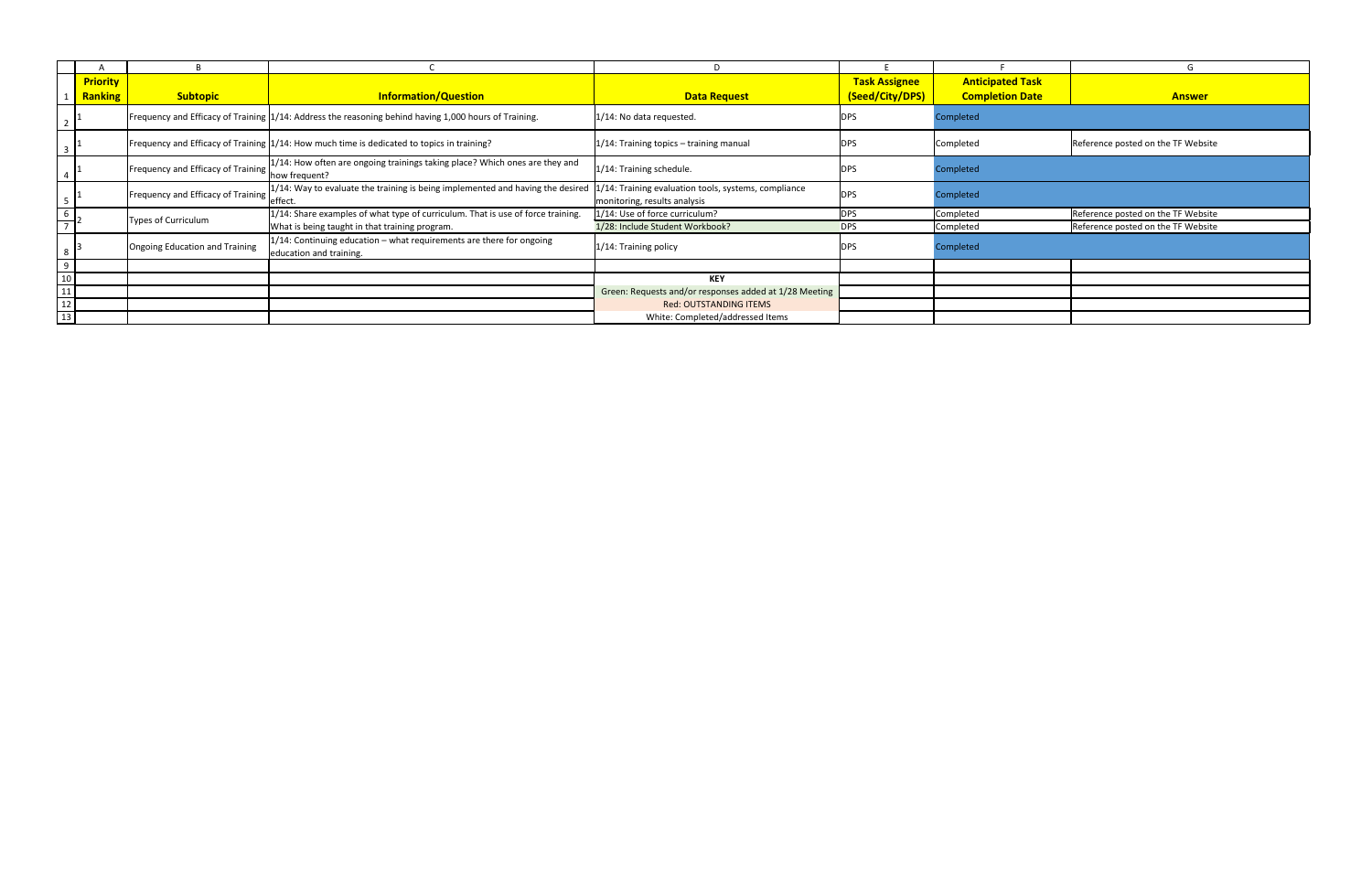|                 | <b>Priority</b> |                                    |                                                                                                       |                                                                                      | <b>Task Assignee</b> | <b>Anticipated Task</b> |                                    |
|-----------------|-----------------|------------------------------------|-------------------------------------------------------------------------------------------------------|--------------------------------------------------------------------------------------|----------------------|-------------------------|------------------------------------|
|                 | <b>Ranking</b>  | <b>Subtopic</b>                    | <b>Information/Question</b>                                                                           | <b>Data Request</b>                                                                  | (Seed/City/DPS)      | <b>Completion Date</b>  | <b>Answer</b>                      |
|                 |                 |                                    | Frequency and Efficacy of Training 1/14: Address the reasoning behind having 1,000 hours of Training. | 1/14: No data requested.                                                             | <b>DPS</b>           | Completed               |                                    |
|                 |                 |                                    | Frequency and Efficacy of Training 1/14: How much time is dedicated to topics in training?            | 1/14: Training topics - training manual                                              | <b>DPS</b>           | Completed               | Reference posted on the TF Website |
|                 |                 | Frequency and Efficacy of Training | $1/14$ : How often are ongoing trainings taking place? Which ones are they and<br>how frequent?       | 1/14: Training schedule.                                                             | <b>DPS</b>           | Completed               |                                    |
|                 |                 | Frequency and Efficacy of Training | $1/14$ : Way to evaluate the training is being implemented and having the desired<br>effect.          | 1/14: Training evaluation tools, systems, compliance<br>monitoring, results analysis | <b>DPS</b>           | Completed               |                                    |
|                 |                 | <b>Types of Curriculum</b>         | 1/14: Share examples of what type of curriculum. That is use of force training.                       | 1/14: Use of force curriculum?                                                       | <b>DPS</b>           | Completed               | Reference posted on the TF Website |
|                 |                 |                                    | What is being taught in that training program.                                                        | 1/28: Include Student Workbook?                                                      | <b>DPS</b>           | Completed               | Reference posted on the TF Website |
|                 |                 | Ongoing Education and Training     | 1/14: Continuing education - what requirements are there for ongoing<br>education and training.       | 1/14: Training policy                                                                | <b>DPS</b>           | Completed               |                                    |
| $\overline{9}$  |                 |                                    |                                                                                                       |                                                                                      |                      |                         |                                    |
| $\frac{10}{11}$ |                 |                                    |                                                                                                       | <b>KEY</b>                                                                           |                      |                         |                                    |
|                 |                 |                                    |                                                                                                       | Green: Requests and/or responses added at 1/28 Meeting                               |                      |                         |                                    |
| $\frac{1}{12}$  |                 |                                    |                                                                                                       | <b>Red: OUTSTANDING ITEMS</b>                                                        |                      |                         |                                    |
| $\overline{13}$ |                 |                                    |                                                                                                       | White: Completed/addressed Items                                                     |                      |                         |                                    |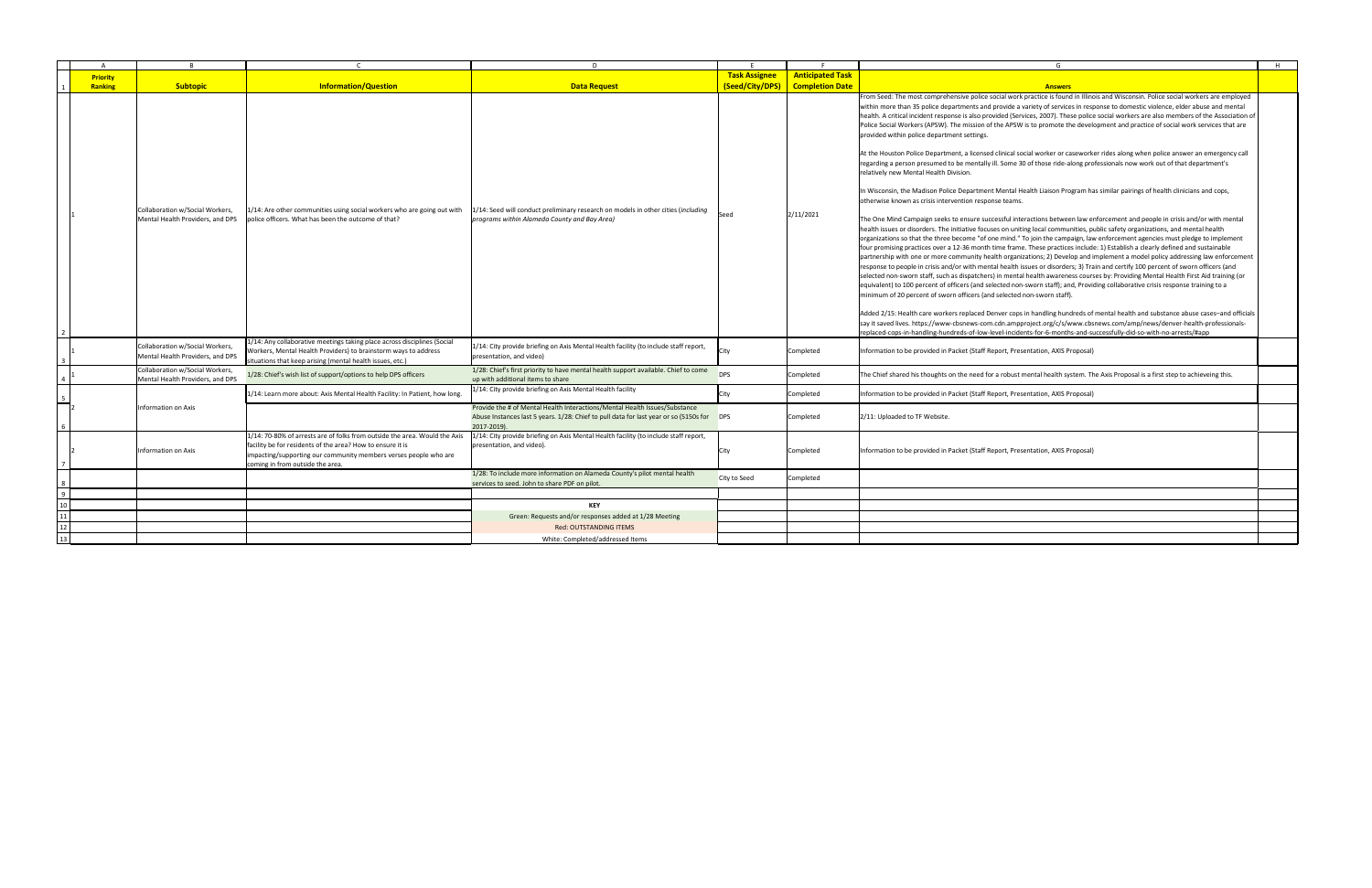|                                   |                                                                     |                                                                                                                                                                                                                                                  | $\mathsf{D}$                                                                                                                                                                           |                                                |                                                   | G                                                                                                                                                                                                                                                                                                                                                                                                                                                                                                                                                                                                                                                                                                                                                                                                                                                                                                                                                                                                                                                                                                                                                                                                                                                                                                                                                                                                                                                                                                                                                                                                                                                                                                                                                                                                                                                                                                                                                                                                                                                                                                                                                                                                                                                                                                                                                                                                                                                                                                                                                                                                                                                                                        |
|-----------------------------------|---------------------------------------------------------------------|--------------------------------------------------------------------------------------------------------------------------------------------------------------------------------------------------------------------------------------------------|----------------------------------------------------------------------------------------------------------------------------------------------------------------------------------------|------------------------------------------------|---------------------------------------------------|------------------------------------------------------------------------------------------------------------------------------------------------------------------------------------------------------------------------------------------------------------------------------------------------------------------------------------------------------------------------------------------------------------------------------------------------------------------------------------------------------------------------------------------------------------------------------------------------------------------------------------------------------------------------------------------------------------------------------------------------------------------------------------------------------------------------------------------------------------------------------------------------------------------------------------------------------------------------------------------------------------------------------------------------------------------------------------------------------------------------------------------------------------------------------------------------------------------------------------------------------------------------------------------------------------------------------------------------------------------------------------------------------------------------------------------------------------------------------------------------------------------------------------------------------------------------------------------------------------------------------------------------------------------------------------------------------------------------------------------------------------------------------------------------------------------------------------------------------------------------------------------------------------------------------------------------------------------------------------------------------------------------------------------------------------------------------------------------------------------------------------------------------------------------------------------------------------------------------------------------------------------------------------------------------------------------------------------------------------------------------------------------------------------------------------------------------------------------------------------------------------------------------------------------------------------------------------------------------------------------------------------------------------------------------------------|
| <b>Priority</b><br><b>Ranking</b> | Subtopic                                                            | <b>Information/Question</b>                                                                                                                                                                                                                      | <b>Data Request</b>                                                                                                                                                                    | <b>Task Assignee</b><br><b>(Seed/City/DPS)</b> | <b>Anticipated Task</b><br><b>Completion Date</b> | <b>Answers</b>                                                                                                                                                                                                                                                                                                                                                                                                                                                                                                                                                                                                                                                                                                                                                                                                                                                                                                                                                                                                                                                                                                                                                                                                                                                                                                                                                                                                                                                                                                                                                                                                                                                                                                                                                                                                                                                                                                                                                                                                                                                                                                                                                                                                                                                                                                                                                                                                                                                                                                                                                                                                                                                                           |
|                                   | Collaboration w/Social Workers<br>Mental Health Providers, and DPS  | 1/14: Are other communities using social workers who are going out with<br>police officers. What has been the outcome of that?                                                                                                                   | 1/14: Seed will conduct preliminary research on models in other cities (including<br>programs within Alameda County and Bay Area)                                                      | Seed                                           | 2/11/2021                                         | From Seed: The most comprehensive police social work practice is found in Illinois and Wisconsin. Police social workers are employed<br>within more than 35 police departments and provide a variety of services in response to domestic violence, elder abuse and mental<br>health. A critical incident response is also provided (Services, 2007). These police social workers are also members of the Association of<br>Police Social Workers (APSW). The mission of the APSW is to promote the development and practice of social work services that are<br>provided within police department settings.<br>At the Houston Police Department, a licensed clinical social worker or caseworker rides along when police answer an emergency call<br>regarding a person presumed to be mentally ill. Some 30 of those ride-along professionals now work out of that department's<br>relatively new Mental Health Division.<br>In Wisconsin, the Madison Police Department Mental Health Liaison Program has similar pairings of health clinicians and cops,<br>otherwise known as crisis intervention response teams.<br>The One Mind Campaign seeks to ensure successful interactions between law enforcement and people in crisis and/or with mental<br>health issues or disorders. The initiative focuses on uniting local communities, public safety organizations, and mental health<br>organizations so that the three become "of one mind." To join the campaign, law enforcement agencies must pledge to implement<br>four promising practices over a 12-36 month time frame. These practices include: 1) Establish a clearly defined and sustainable<br>partnership with one or more community health organizations; 2) Develop and implement a model policy addressing law enforcement<br>response to people in crisis and/or with mental health issues or disorders; 3) Train and certify 100 percent of sworn officers (and<br>selected non-sworn staff, such as dispatchers) in mental health awareness courses by: Providing Mental Health First Aid training (or<br>equivalent) to 100 percent of officers (and selected non-sworn staff); and, Providing collaborative crisis response training to a<br>minimum of 20 percent of sworn officers (and selected non-sworn staff).<br>Added 2/15: Health care workers replaced Denver cops in handling hundreds of mental health and substance abuse cases-and officials<br>say it saved lives. https://www-cbsnews-com.cdn.ampproject.org/c/s/www.cbsnews.com/amp/news/denver-health-professionals-<br>replaced-cops-in-handling-hundreds-of-low-level-incidents-for-6-months-and-successfully-did-so-with-no-arrests/#app |
|                                   | Collaboration w/Social Workers,<br>Mental Health Providers, and DPS | 1/14: Any collaborative meetings taking place across disciplines (Social<br>Workers, Mental Health Providers) to brainstorm ways to address<br>situations that keep arising (mental health issues, etc.)                                         | $ 1/14$ : City provide briefing on Axis Mental Health facility (to include staff report,<br>presentation, and video)                                                                   | City                                           | Completed                                         | Information to be provided in Packet (Staff Report, Presentation, AXIS Proposal)                                                                                                                                                                                                                                                                                                                                                                                                                                                                                                                                                                                                                                                                                                                                                                                                                                                                                                                                                                                                                                                                                                                                                                                                                                                                                                                                                                                                                                                                                                                                                                                                                                                                                                                                                                                                                                                                                                                                                                                                                                                                                                                                                                                                                                                                                                                                                                                                                                                                                                                                                                                                         |
|                                   | Collaboration w/Social Workers,<br>Mental Health Providers, and DPS | L/28: Chief's wish list of support/options to help DPS officers                                                                                                                                                                                  | 1/28: Chief's first priority to have mental health support available. Chief to come<br>up with additional items to share                                                               | <b>DPS</b>                                     | Completed                                         | The Chief shared his thoughts on the need for a robust mental health system. The Axis Proposal is a first step to achieveing this.                                                                                                                                                                                                                                                                                                                                                                                                                                                                                                                                                                                                                                                                                                                                                                                                                                                                                                                                                                                                                                                                                                                                                                                                                                                                                                                                                                                                                                                                                                                                                                                                                                                                                                                                                                                                                                                                                                                                                                                                                                                                                                                                                                                                                                                                                                                                                                                                                                                                                                                                                       |
|                                   |                                                                     | 1/14: Learn more about: Axis Mental Health Facility: In Patient, how long.                                                                                                                                                                       | 1/14: City provide briefing on Axis Mental Health facility                                                                                                                             | City                                           | Completed                                         | Information to be provided in Packet (Staff Report, Presentation, AXIS Proposal)                                                                                                                                                                                                                                                                                                                                                                                                                                                                                                                                                                                                                                                                                                                                                                                                                                                                                                                                                                                                                                                                                                                                                                                                                                                                                                                                                                                                                                                                                                                                                                                                                                                                                                                                                                                                                                                                                                                                                                                                                                                                                                                                                                                                                                                                                                                                                                                                                                                                                                                                                                                                         |
|                                   | Information on Axis                                                 |                                                                                                                                                                                                                                                  | Provide the # of Mental Health Interactions/Mental Health Issues/Substance<br>Abuse Instances last 5 years. 1/28: Chief to pull data for last year or so (5150s for DPS<br>2017-2019). |                                                | Completed                                         | 2/11: Uploaded to TF Website.                                                                                                                                                                                                                                                                                                                                                                                                                                                                                                                                                                                                                                                                                                                                                                                                                                                                                                                                                                                                                                                                                                                                                                                                                                                                                                                                                                                                                                                                                                                                                                                                                                                                                                                                                                                                                                                                                                                                                                                                                                                                                                                                                                                                                                                                                                                                                                                                                                                                                                                                                                                                                                                            |
|                                   | Information on Axis                                                 | 1/14: 70-80% of arrests are of folks from outside the area. Would the Axis<br>facility be for residents of the area? How to ensure it is<br>impacting/supporting our community members verses people who are<br>coming in from outside the area. | 1/14: City provide briefing on Axis Mental Health facility (to include staff report,<br>presentation, and video).                                                                      | City                                           | Completed                                         | Information to be provided in Packet (Staff Report, Presentation, AXIS Proposal)                                                                                                                                                                                                                                                                                                                                                                                                                                                                                                                                                                                                                                                                                                                                                                                                                                                                                                                                                                                                                                                                                                                                                                                                                                                                                                                                                                                                                                                                                                                                                                                                                                                                                                                                                                                                                                                                                                                                                                                                                                                                                                                                                                                                                                                                                                                                                                                                                                                                                                                                                                                                         |
|                                   |                                                                     |                                                                                                                                                                                                                                                  | 1/28: To include more information on Alameda County's pilot mental health<br>services to seed. John to share PDF on pilot.                                                             | <b>City to Seed</b>                            | Completed                                         |                                                                                                                                                                                                                                                                                                                                                                                                                                                                                                                                                                                                                                                                                                                                                                                                                                                                                                                                                                                                                                                                                                                                                                                                                                                                                                                                                                                                                                                                                                                                                                                                                                                                                                                                                                                                                                                                                                                                                                                                                                                                                                                                                                                                                                                                                                                                                                                                                                                                                                                                                                                                                                                                                          |
|                                   |                                                                     |                                                                                                                                                                                                                                                  |                                                                                                                                                                                        |                                                |                                                   |                                                                                                                                                                                                                                                                                                                                                                                                                                                                                                                                                                                                                                                                                                                                                                                                                                                                                                                                                                                                                                                                                                                                                                                                                                                                                                                                                                                                                                                                                                                                                                                                                                                                                                                                                                                                                                                                                                                                                                                                                                                                                                                                                                                                                                                                                                                                                                                                                                                                                                                                                                                                                                                                                          |
| 10 <sup>1</sup>                   |                                                                     |                                                                                                                                                                                                                                                  | <b>KEY</b>                                                                                                                                                                             |                                                |                                                   |                                                                                                                                                                                                                                                                                                                                                                                                                                                                                                                                                                                                                                                                                                                                                                                                                                                                                                                                                                                                                                                                                                                                                                                                                                                                                                                                                                                                                                                                                                                                                                                                                                                                                                                                                                                                                                                                                                                                                                                                                                                                                                                                                                                                                                                                                                                                                                                                                                                                                                                                                                                                                                                                                          |
|                                   |                                                                     |                                                                                                                                                                                                                                                  | Green: Requests and/or responses added at 1/28 Meeting                                                                                                                                 |                                                |                                                   |                                                                                                                                                                                                                                                                                                                                                                                                                                                                                                                                                                                                                                                                                                                                                                                                                                                                                                                                                                                                                                                                                                                                                                                                                                                                                                                                                                                                                                                                                                                                                                                                                                                                                                                                                                                                                                                                                                                                                                                                                                                                                                                                                                                                                                                                                                                                                                                                                                                                                                                                                                                                                                                                                          |
|                                   |                                                                     |                                                                                                                                                                                                                                                  | <b>Red: OUTSTANDING ITEMS</b>                                                                                                                                                          |                                                |                                                   |                                                                                                                                                                                                                                                                                                                                                                                                                                                                                                                                                                                                                                                                                                                                                                                                                                                                                                                                                                                                                                                                                                                                                                                                                                                                                                                                                                                                                                                                                                                                                                                                                                                                                                                                                                                                                                                                                                                                                                                                                                                                                                                                                                                                                                                                                                                                                                                                                                                                                                                                                                                                                                                                                          |
|                                   |                                                                     |                                                                                                                                                                                                                                                  | White: Completed/addressed Items                                                                                                                                                       |                                                |                                                   |                                                                                                                                                                                                                                                                                                                                                                                                                                                                                                                                                                                                                                                                                                                                                                                                                                                                                                                                                                                                                                                                                                                                                                                                                                                                                                                                                                                                                                                                                                                                                                                                                                                                                                                                                                                                                                                                                                                                                                                                                                                                                                                                                                                                                                                                                                                                                                                                                                                                                                                                                                                                                                                                                          |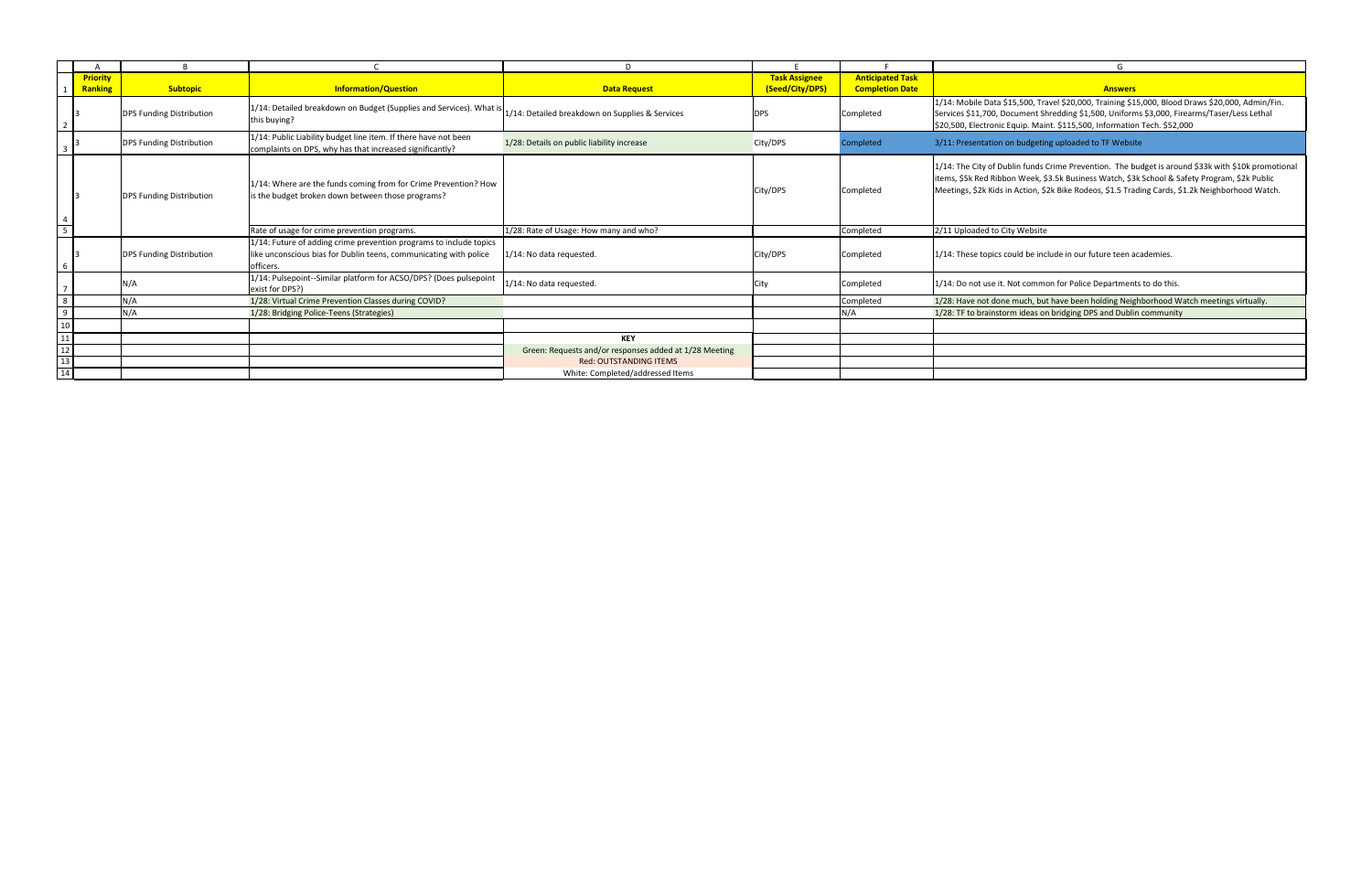|                                                                                  |                 |                                 |                                                                                                                                                      | D.                                                     |                      |                         | G                                                                                                                                                                                                                                                                                                       |
|----------------------------------------------------------------------------------|-----------------|---------------------------------|------------------------------------------------------------------------------------------------------------------------------------------------------|--------------------------------------------------------|----------------------|-------------------------|---------------------------------------------------------------------------------------------------------------------------------------------------------------------------------------------------------------------------------------------------------------------------------------------------------|
|                                                                                  | <b>Priority</b> |                                 |                                                                                                                                                      |                                                        | <b>Task Assignee</b> | <b>Anticipated Task</b> |                                                                                                                                                                                                                                                                                                         |
|                                                                                  | <b>Ranking</b>  | <b>Subtopic</b>                 | <b>Information/Question</b>                                                                                                                          | <b>Data Request</b>                                    | (Seed/City/DPS)      | <b>Completion Date</b>  | <b>Answers</b>                                                                                                                                                                                                                                                                                          |
|                                                                                  |                 | <b>DPS Funding Distribution</b> | 1/14: Detailed breakdown on Budget (Supplies and Services). What is<br>this buying?                                                                  | 1/14: Detailed breakdown on Supplies & Services        | <b>DPS</b>           | Completed               | 1/14: Mobile Data \$15,500, Travel \$20,000, Training \$15,000, Blood Draws \$20,000, Admin/Fin.<br>Services \$11,700, Document Shredding \$1,500, Uniforms \$3,000, Firearms/Taser/Less Lethal<br>\$20,500, Electronic Equip. Maint. \$115,500, Information Tech. \$52,000                             |
|                                                                                  |                 | <b>DPS Funding Distribution</b> | 1/14: Public Liability budget line item. If there have not been<br>complaints on DPS, why has that increased significantly?                          | 1/28: Details on public liability increase             | City/DPS             | Completed               | 3/11: Presentation on budgeting uploaded to TF Website                                                                                                                                                                                                                                                  |
|                                                                                  |                 | <b>DPS Funding Distribution</b> | 1/14: Where are the funds coming from for Crime Prevention? How<br>is the budget broken down between those programs?                                 |                                                        | City/DPS             | Completed               | 1/14: The City of Dublin funds Crime Prevention. The budget is around \$33k with \$10k promotional<br>items, \$5k Red Ribbon Week, \$3.5k Business Watch, \$3k School & Safety Program, \$2k Public<br>Meetings, \$2k Kids in Action, \$2k Bike Rodeos, \$1.5 Trading Cards, \$1.2k Neighborhood Watch. |
| $\overline{5}$                                                                   |                 |                                 | Rate of usage for crime prevention programs.                                                                                                         | 1/28: Rate of Usage: How many and who?                 |                      | Completed               | 2/11 Uploaded to City Website                                                                                                                                                                                                                                                                           |
| $6\overline{6}$                                                                  |                 | <b>DPS Funding Distribution</b> | 1/14: Future of adding crime prevention programs to include topics<br>like unconscious bias for Dublin teens, communicating with police<br>officers. | 1/14: No data requested                                | City/DPS             | Completed               | 1/14: These topics could be include in our future teen academies.                                                                                                                                                                                                                                       |
|                                                                                  |                 | N/A                             | 1/14: Pulsepoint--Similar platform for ACSO/DPS? (Does pulsepoint<br>exist for DPS?)                                                                 | 1/14: No data requested                                | City                 | Completed               | $1/14$ : Do not use it. Not common for Police Departments to do this.                                                                                                                                                                                                                                   |
|                                                                                  |                 | N/A                             | 1/28: Virtual Crime Prevention Classes during COVID?                                                                                                 |                                                        |                      | Completed               | 1/28: Have not done much, but have been holding Neighborhood Watch meetings virtually.                                                                                                                                                                                                                  |
| 9 <sup>°</sup>                                                                   |                 | N/A                             | 1/28: Bridging Police-Teens (Strategies)                                                                                                             |                                                        |                      | N/A                     | 1/28: TF to brainstorm ideas on bridging DPS and Dublin community                                                                                                                                                                                                                                       |
| 10 <sub>1</sub>                                                                  |                 |                                 |                                                                                                                                                      |                                                        |                      |                         |                                                                                                                                                                                                                                                                                                         |
| 11                                                                               |                 |                                 |                                                                                                                                                      | <b>KEY</b>                                             |                      |                         |                                                                                                                                                                                                                                                                                                         |
| $\begin{array}{c}\n\overline{12} \\ \overline{13} \\ \overline{14}\n\end{array}$ |                 |                                 |                                                                                                                                                      | Green: Requests and/or responses added at 1/28 Meeting |                      |                         |                                                                                                                                                                                                                                                                                                         |
|                                                                                  |                 |                                 |                                                                                                                                                      | <b>Red: OUTSTANDING ITEMS</b>                          |                      |                         |                                                                                                                                                                                                                                                                                                         |
|                                                                                  |                 |                                 |                                                                                                                                                      | White: Completed/addressed Items                       |                      |                         |                                                                                                                                                                                                                                                                                                         |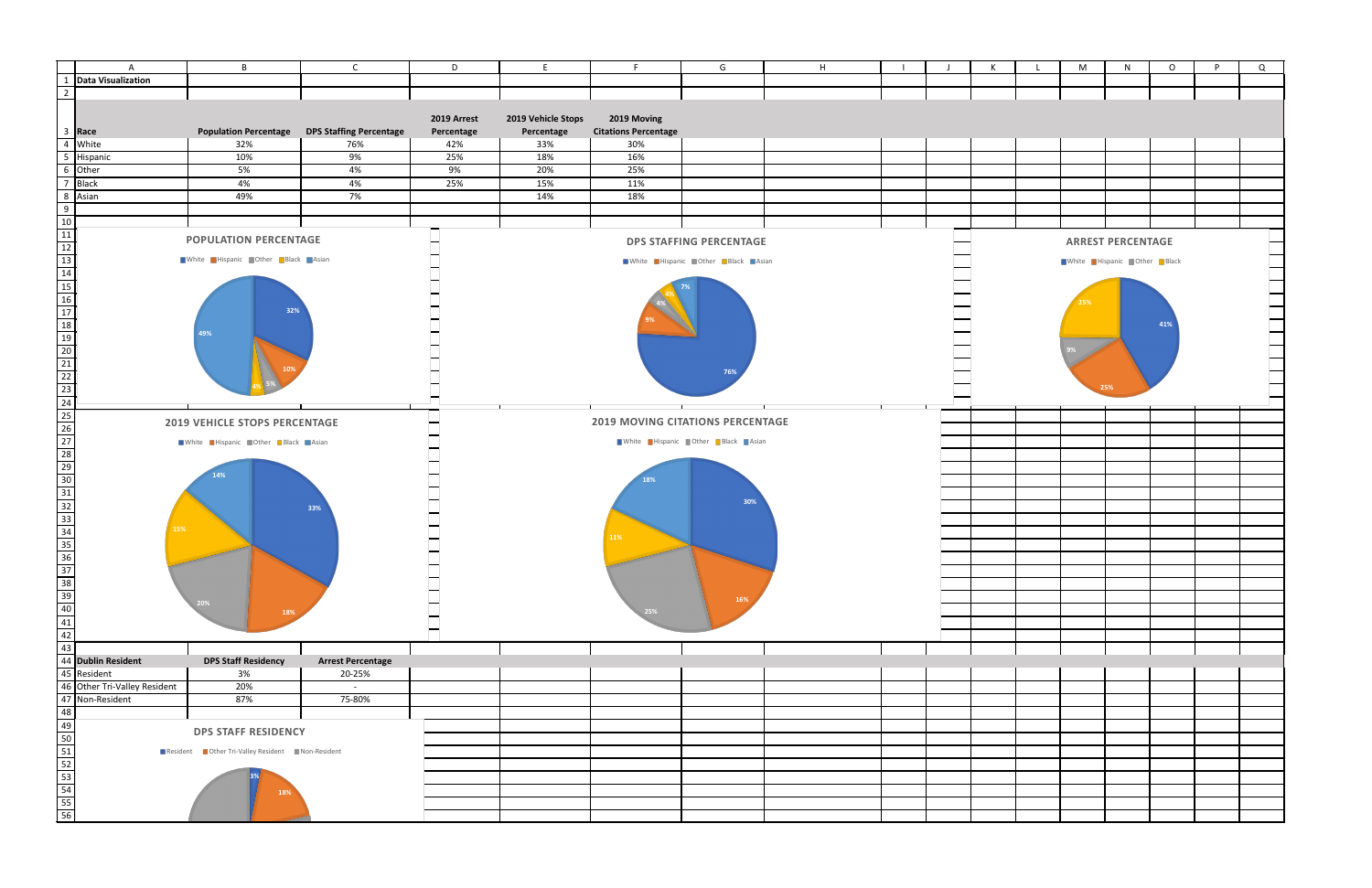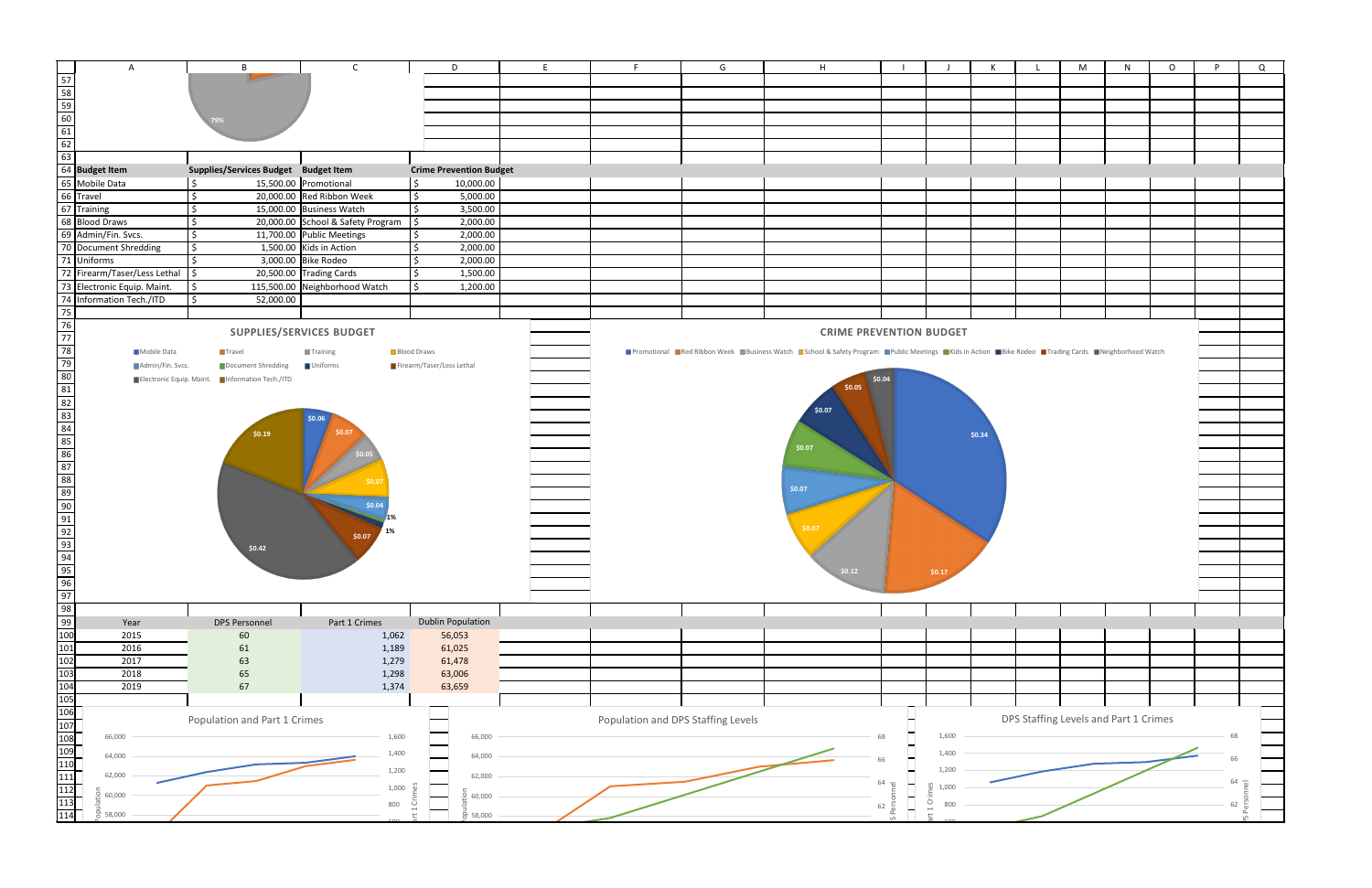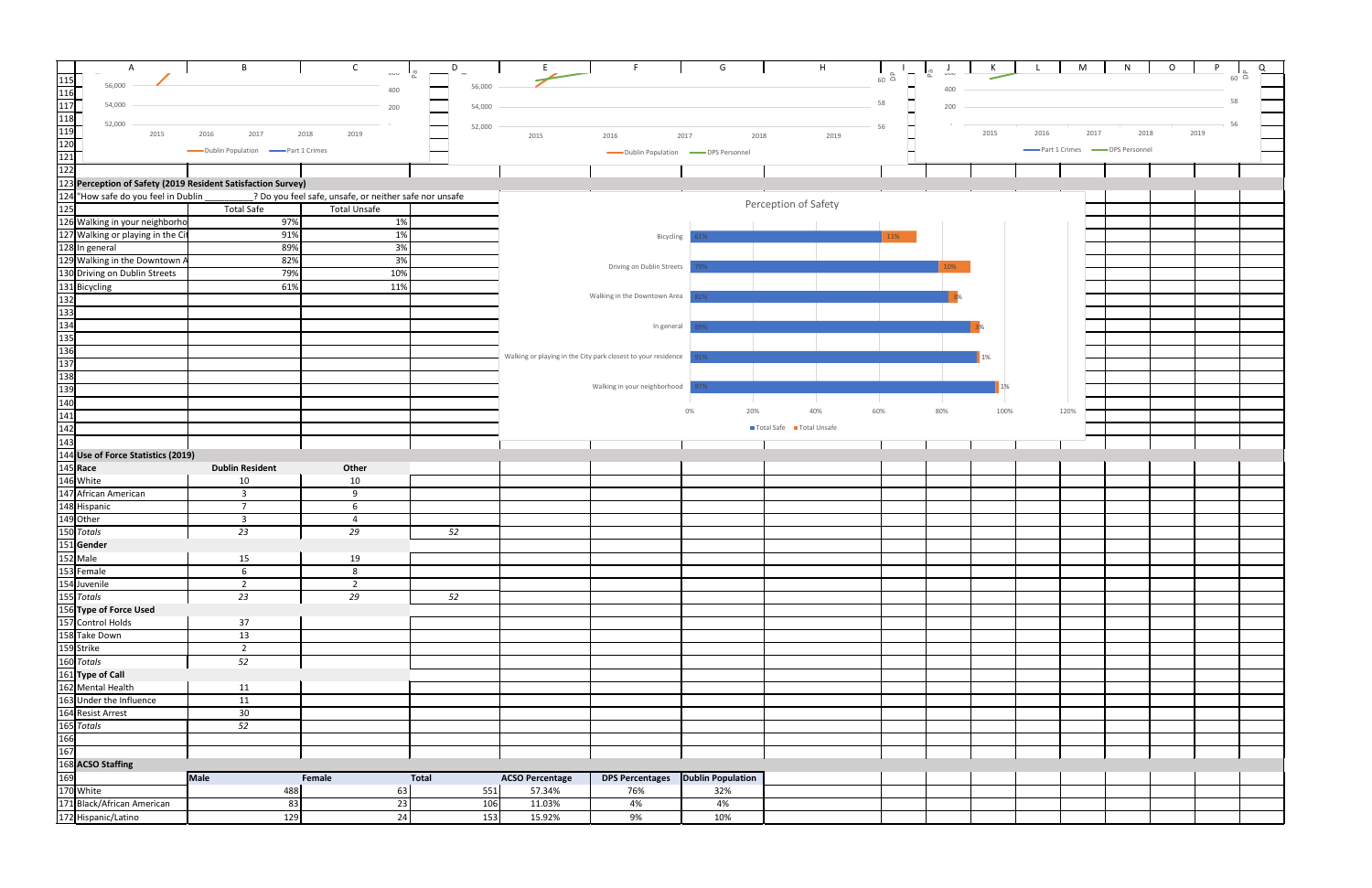| $\mathsf{A}$                                                                                                                                                                                                                                                                                   | B                                              | $\mathsf{C}$                                           | D            |                                                               |                                                   | G            | H                       |                |                      |      |      | M                                          | $\circ$      |               |
|------------------------------------------------------------------------------------------------------------------------------------------------------------------------------------------------------------------------------------------------------------------------------------------------|------------------------------------------------|--------------------------------------------------------|--------------|---------------------------------------------------------------|---------------------------------------------------|--------------|-------------------------|----------------|----------------------|------|------|--------------------------------------------|--------------|---------------|
|                                                                                                                                                                                                                                                                                                |                                                | <b>OUU</b>                                             |              |                                                               |                                                   |              |                         | $60$ $\approx$ | <b>UUU</b><br>$\sim$ | N.   |      |                                            |              | $60\ \square$ |
|                                                                                                                                                                                                                                                                                                |                                                | 400                                                    | 56,000       |                                                               |                                                   |              |                         |                | 400                  |      |      |                                            |              |               |
|                                                                                                                                                                                                                                                                                                |                                                |                                                        |              |                                                               |                                                   |              |                         |                |                      |      |      |                                            |              | 58            |
|                                                                                                                                                                                                                                                                                                |                                                | 200                                                    | 54,000       |                                                               |                                                   |              |                         | 58             | 200                  |      |      |                                            |              |               |
|                                                                                                                                                                                                                                                                                                |                                                |                                                        |              |                                                               |                                                   |              |                         |                |                      |      |      |                                            |              | 56            |
|                                                                                                                                                                                                                                                                                                |                                                | 2018<br>2019                                           | 52,000       | 2015                                                          | 2016                                              | 2017<br>2018 | 2019                    | 56             |                      | 2015 | 2016 | 2017                                       | 2019<br>2018 |               |
|                                                                                                                                                                                                                                                                                                |                                                |                                                        |              |                                                               |                                                   |              |                         |                |                      |      |      |                                            |              |               |
|                                                                                                                                                                                                                                                                                                | Dublin Population <b>Contact Part 1 Crimes</b> |                                                        |              |                                                               | Dublin Population <b>COVER SEAS</b> DPS Personnel |              |                         |                |                      |      |      | Part 1 Crimes <b>COMPANY</b> DPS Personnel |              |               |
|                                                                                                                                                                                                                                                                                                |                                                |                                                        |              |                                                               |                                                   |              |                         |                |                      |      |      |                                            |              |               |
|                                                                                                                                                                                                                                                                                                |                                                |                                                        |              |                                                               |                                                   |              |                         |                |                      |      |      |                                            |              |               |
|                                                                                                                                                                                                                                                                                                |                                                |                                                        |              |                                                               |                                                   |              |                         |                |                      |      |      |                                            |              |               |
| 124 "How safe do you feel in Dublin<br>125<br>126 Walking in your neighborho                                                                                                                                                                                                                   |                                                | ? Do you feel safe, unsafe, or neither safe nor unsafe |              |                                                               |                                                   |              | Perception of Safety    |                |                      |      |      |                                            |              |               |
|                                                                                                                                                                                                                                                                                                | <b>Total Safe</b>                              | <b>Total Unsafe</b>                                    |              |                                                               |                                                   |              |                         |                |                      |      |      |                                            |              |               |
|                                                                                                                                                                                                                                                                                                | 97%                                            | 1%                                                     |              |                                                               |                                                   |              |                         |                |                      |      |      |                                            |              |               |
| 127 Walking or playing in the City<br>128 In general<br>129 Walking in the Downtown A                                                                                                                                                                                                          | 91%                                            | 1%                                                     |              |                                                               | Bicycling                                         |              |                         | 11%            |                      |      |      |                                            |              |               |
|                                                                                                                                                                                                                                                                                                | 89%                                            | 3%                                                     |              |                                                               |                                                   |              |                         |                |                      |      |      |                                            |              |               |
|                                                                                                                                                                                                                                                                                                | 82%                                            | 3%                                                     |              |                                                               |                                                   |              |                         |                |                      |      |      |                                            |              |               |
| 130 Driving on Dublin Streets                                                                                                                                                                                                                                                                  | 79%                                            | 10%                                                    |              |                                                               | Driving on Dublin Streets                         |              |                         |                | 10%                  |      |      |                                            |              |               |
|                                                                                                                                                                                                                                                                                                | 61%                                            | 11%                                                    |              |                                                               |                                                   |              |                         |                |                      |      |      |                                            |              |               |
|                                                                                                                                                                                                                                                                                                |                                                |                                                        |              |                                                               | Walking in the Downtown Area                      |              |                         |                |                      |      |      |                                            |              |               |
|                                                                                                                                                                                                                                                                                                |                                                |                                                        |              |                                                               |                                                   |              |                         |                |                      |      |      |                                            |              |               |
|                                                                                                                                                                                                                                                                                                |                                                |                                                        |              |                                                               |                                                   |              |                         |                |                      |      |      |                                            |              |               |
|                                                                                                                                                                                                                                                                                                |                                                |                                                        |              |                                                               | In general                                        |              |                         |                |                      |      |      |                                            |              |               |
|                                                                                                                                                                                                                                                                                                |                                                |                                                        |              |                                                               |                                                   |              |                         |                |                      |      |      |                                            |              |               |
|                                                                                                                                                                                                                                                                                                |                                                |                                                        |              | Walking or playing in the City park closest to your residence |                                                   | $1\%$ .      |                         |                |                      | 1%   |      |                                            |              |               |
|                                                                                                                                                                                                                                                                                                |                                                |                                                        |              |                                                               |                                                   |              |                         |                |                      |      |      |                                            |              |               |
|                                                                                                                                                                                                                                                                                                |                                                |                                                        |              |                                                               |                                                   |              |                         |                |                      |      |      |                                            |              |               |
|                                                                                                                                                                                                                                                                                                |                                                |                                                        |              |                                                               | Walking in your neighborhood                      |              |                         |                |                      |      |      |                                            |              |               |
|                                                                                                                                                                                                                                                                                                |                                                |                                                        |              |                                                               |                                                   |              |                         |                |                      |      |      |                                            |              |               |
|                                                                                                                                                                                                                                                                                                |                                                |                                                        |              |                                                               |                                                   | 20%<br>0%    | 40%                     | 60%            | 80%                  | 100% |      | 120%                                       |              |               |
|                                                                                                                                                                                                                                                                                                |                                                |                                                        |              |                                                               |                                                   |              | Total Safe Total Unsafe |                |                      |      |      |                                            |              |               |
|                                                                                                                                                                                                                                                                                                |                                                |                                                        |              |                                                               |                                                   |              |                         |                |                      |      |      |                                            |              |               |
|                                                                                                                                                                                                                                                                                                |                                                |                                                        |              |                                                               |                                                   |              |                         |                |                      |      |      |                                            |              |               |
|                                                                                                                                                                                                                                                                                                |                                                |                                                        |              |                                                               |                                                   |              |                         |                |                      |      |      |                                            |              |               |
|                                                                                                                                                                                                                                                                                                | <b>Dublin Resident</b>                         | Other                                                  |              |                                                               |                                                   |              |                         |                |                      |      |      |                                            |              |               |
|                                                                                                                                                                                                                                                                                                | 10                                             | 10                                                     |              |                                                               |                                                   |              |                         |                |                      |      |      |                                            |              |               |
|                                                                                                                                                                                                                                                                                                | $\overline{\mathbf{3}}$                        | 9                                                      |              |                                                               |                                                   |              |                         |                |                      |      |      |                                            |              |               |
|                                                                                                                                                                                                                                                                                                | $\overline{\phantom{a}}$                       | 6                                                      |              |                                                               |                                                   |              |                         |                |                      |      |      |                                            |              |               |
|                                                                                                                                                                                                                                                                                                | $\overline{3}$                                 |                                                        |              |                                                               |                                                   |              |                         |                |                      |      |      |                                            |              |               |
|                                                                                                                                                                                                                                                                                                | 23                                             | 29                                                     | 52           |                                                               |                                                   |              |                         |                |                      |      |      |                                            |              |               |
|                                                                                                                                                                                                                                                                                                |                                                |                                                        |              |                                                               |                                                   |              |                         |                |                      |      |      |                                            |              |               |
|                                                                                                                                                                                                                                                                                                |                                                |                                                        |              |                                                               |                                                   |              |                         |                |                      |      |      |                                            |              |               |
|                                                                                                                                                                                                                                                                                                | 15                                             | 19                                                     |              |                                                               |                                                   |              |                         |                |                      |      |      |                                            |              |               |
|                                                                                                                                                                                                                                                                                                | 6                                              | 8                                                      |              |                                                               |                                                   |              |                         |                |                      |      |      |                                            |              |               |
|                                                                                                                                                                                                                                                                                                | $\overline{2}$                                 | $\overline{2}$                                         |              |                                                               |                                                   |              |                         |                |                      |      |      |                                            |              |               |
|                                                                                                                                                                                                                                                                                                | 23                                             | 29                                                     | 52           |                                                               |                                                   |              |                         |                |                      |      |      |                                            |              |               |
|                                                                                                                                                                                                                                                                                                |                                                |                                                        |              |                                                               |                                                   |              |                         |                |                      |      |      |                                            |              |               |
|                                                                                                                                                                                                                                                                                                | 37                                             |                                                        |              |                                                               |                                                   |              |                         |                |                      |      |      |                                            |              |               |
|                                                                                                                                                                                                                                                                                                | 13                                             |                                                        |              |                                                               |                                                   |              |                         |                |                      |      |      |                                            |              |               |
|                                                                                                                                                                                                                                                                                                | $\overline{2}$                                 |                                                        |              |                                                               |                                                   |              |                         |                |                      |      |      |                                            |              |               |
|                                                                                                                                                                                                                                                                                                | 52                                             |                                                        |              |                                                               |                                                   |              |                         |                |                      |      |      |                                            |              |               |
|                                                                                                                                                                                                                                                                                                |                                                |                                                        |              |                                                               |                                                   |              |                         |                |                      |      |      |                                            |              |               |
|                                                                                                                                                                                                                                                                                                | 11                                             |                                                        |              |                                                               |                                                   |              |                         |                |                      |      |      |                                            |              |               |
|                                                                                                                                                                                                                                                                                                | 11                                             |                                                        |              |                                                               |                                                   |              |                         |                |                      |      |      |                                            |              |               |
|                                                                                                                                                                                                                                                                                                | 30 <sup>°</sup>                                |                                                        |              |                                                               |                                                   |              |                         |                |                      |      |      |                                            |              |               |
|                                                                                                                                                                                                                                                                                                |                                                |                                                        |              |                                                               |                                                   |              |                         |                |                      |      |      |                                            |              |               |
|                                                                                                                                                                                                                                                                                                | 52                                             |                                                        |              |                                                               |                                                   |              |                         |                |                      |      |      |                                            |              |               |
|                                                                                                                                                                                                                                                                                                |                                                |                                                        |              |                                                               |                                                   |              |                         |                |                      |      |      |                                            |              |               |
|                                                                                                                                                                                                                                                                                                |                                                |                                                        |              |                                                               |                                                   |              |                         |                |                      |      |      |                                            |              |               |
| 131 Bicycling<br>132 133<br>133<br>133<br>133<br>133<br>135<br>135<br>138<br>140<br>141<br>142<br>143<br>144<br>142<br>143<br>144<br>142<br>143<br>144<br>142<br>143<br>144<br>142<br>143<br>146<br>Mhite<br>147 African American<br>148 Hispanic<br>150 Otter<br>152 Male<br>153 Fremale<br>1 |                                                |                                                        |              |                                                               |                                                   |              |                         |                |                      |      |      |                                            |              |               |
|                                                                                                                                                                                                                                                                                                | <b>Male</b>                                    | Female                                                 | <b>Total</b> | <b>ACSO Percentage</b>                                        | DPS Percentages Dublin Population                 |              |                         |                |                      |      |      |                                            |              |               |
|                                                                                                                                                                                                                                                                                                | 488                                            | 63                                                     | 551          | 57.34%                                                        | 76%                                               | 32%          |                         |                |                      |      |      |                                            |              |               |
|                                                                                                                                                                                                                                                                                                | 83                                             | $23\,$                                                 | 106          | 11.03%                                                        | 4%                                                | 4%           |                         |                |                      |      |      |                                            |              |               |
|                                                                                                                                                                                                                                                                                                | 129                                            | 24                                                     | 153          | 15.92%                                                        | 9%                                                | 10%          |                         |                |                      |      |      |                                            |              |               |
|                                                                                                                                                                                                                                                                                                |                                                |                                                        |              |                                                               |                                                   |              |                         |                |                      |      |      |                                            |              |               |